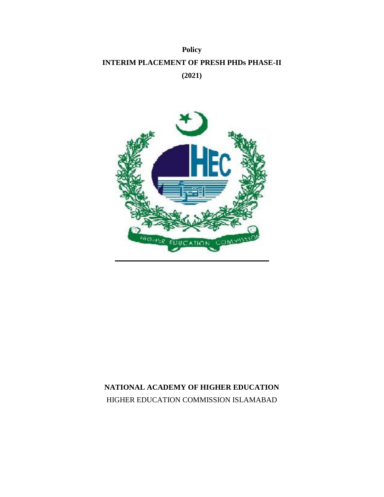## **Policy INTERIM PLACEMENT OF PRESH PHDs PHASE-II (2021)**



## **NATIONAL ACADEMY OF HIGHER EDUCATION** HIGHER EDUCATION COMMISSION ISLAMABAD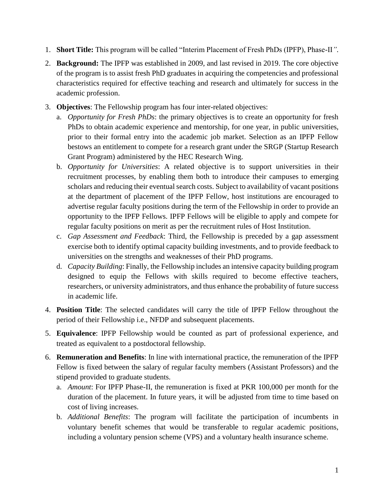- 1. **Short Title:** This program will be called "Interim Placement of Fresh PhDs (IPFP), Phase-II*"*.
- 2. **Background:** The IPFP was established in 2009, and last revised in 2019. The core objective of the program is to assist fresh PhD graduates in acquiring the competencies and professional characteristics required for effective teaching and research and ultimately for success in the academic profession.
- 3. **Objectives**: The Fellowship program has four inter-related objectives:
	- a. *Opportunity for Fresh PhDs*: the primary objectives is to create an opportunity for fresh PhDs to obtain academic experience and mentorship, for one year, in public universities, prior to their formal entry into the academic job market. Selection as an IPFP Fellow bestows an entitlement to compete for a research grant under the SRGP (Startup Research Grant Program) administered by the HEC Research Wing.
	- b. *Opportunity for Universities*: A related objective is to support universities in their recruitment processes, by enabling them both to introduce their campuses to emerging scholars and reducing their eventual search costs. Subject to availability of vacant positions at the department of placement of the IPFP Fellow, host institutions are encouraged to advertise regular faculty positions during the term of the Fellowship in order to provide an opportunity to the IPFP Fellows. IPFP Fellows will be eligible to apply and compete for regular faculty positions on merit as per the recruitment rules of Host Institution.
	- c. *Gap Assessment and Feedback*: Third, the Fellowship is preceded by a gap assessment exercise both to identify optimal capacity building investments, and to provide feedback to universities on the strengths and weaknesses of their PhD programs.
	- d. *Capacity Building*: Finally, the Fellowship includes an intensive capacity building program designed to equip the Fellows with skills required to become effective teachers, researchers, or university administrators, and thus enhance the probability of future success in academic life.
- 4. **Position Title**: The selected candidates will carry the title of IPFP Fellow throughout the period of their Fellowship i.e., NFDP and subsequent placements.
- 5. **Equivalence**: IPFP Fellowship would be counted as part of professional experience, and treated as equivalent to a postdoctoral fellowship.
- 6. **Remuneration and Benefits**: In line with international practice, the remuneration of the IPFP Fellow is fixed between the salary of regular faculty members (Assistant Professors) and the stipend provided to graduate students.
	- a. *Amount*: For IPFP Phase-II, the remuneration is fixed at PKR 100,000 per month for the duration of the placement. In future years, it will be adjusted from time to time based on cost of living increases.
	- b. *Additional Benefits*: The program will facilitate the participation of incumbents in voluntary benefit schemes that would be transferable to regular academic positions, including a voluntary pension scheme (VPS) and a voluntary health insurance scheme.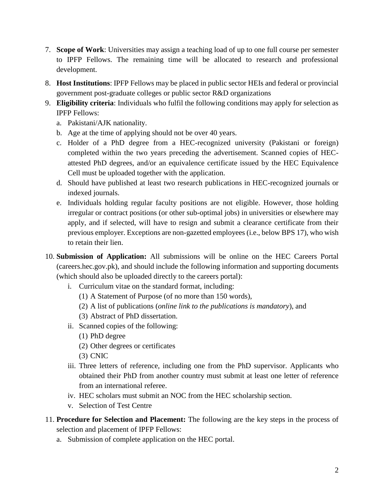- 7. **Scope of Work**: Universities may assign a teaching load of up to one full course per semester to IPFP Fellows. The remaining time will be allocated to research and professional development.
- 8. **Host Institutions**: IPFP Fellows may be placed in public sector HEIs and federal or provincial government post-graduate colleges or public sector R&D organizations
- 9. **Eligibility criteria**: Individuals who fulfil the following conditions may apply for selection as IPFP Fellows:
	- a. Pakistani/AJK nationality.
	- b. Age at the time of applying should not be over 40 years.
	- c. Holder of a PhD degree from a HEC-recognized university (Pakistani or foreign) completed within the two years preceding the advertisement. Scanned copies of HECattested PhD degrees, and/or an equivalence certificate issued by the HEC Equivalence Cell must be uploaded together with the application.
	- d. Should have published at least two research publications in HEC-recognized journals or indexed journals.
	- e. Individuals holding regular faculty positions are not eligible. However, those holding irregular or contract positions (or other sub-optimal jobs) in universities or elsewhere may apply, and if selected, will have to resign and submit a clearance certificate from their previous employer. Exceptions are non-gazetted employees (i.e., below BPS 17), who wish to retain their lien.
- 10. **Submission of Application:** All submissions will be online on the HEC Careers Portal (careers.hec.gov.pk), and should include the following information and supporting documents (which should also be uploaded directly to the careers portal):
	- i. Curriculum vitae on the standard format, including:
		- (1) A Statement of Purpose (of no more than 150 words),
		- (2) A list of publications (*online link to the publications is mandatory*), and
		- (3) Abstract of PhD dissertation.
	- ii. Scanned copies of the following:
		- (1) PhD degree
		- (2) Other degrees or certificates
		- (3) CNIC
	- iii. Three letters of reference, including one from the PhD supervisor. Applicants who obtained their PhD from another country must submit at least one letter of reference from an international referee.
	- iv. HEC scholars must submit an NOC from the HEC scholarship section.
	- v. Selection of Test Centre
- 11. **Procedure for Selection and Placement:** The following are the key steps in the process of selection and placement of IPFP Fellows:
	- a. Submission of complete application on the HEC portal.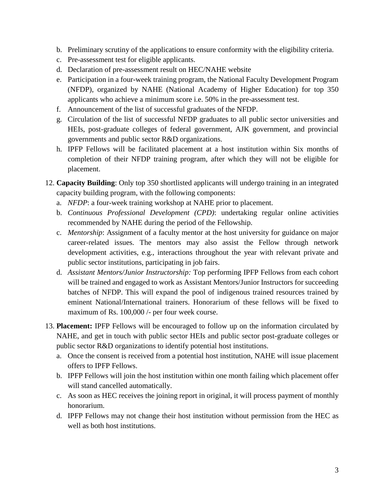- b. Preliminary scrutiny of the applications to ensure conformity with the eligibility criteria.
- c. Pre-assessment test for eligible applicants.
- d. Declaration of pre-assessment result on HEC/NAHE website
- e. Participation in a four-week training program, the National Faculty Development Program (NFDP), organized by NAHE (National Academy of Higher Education) for top 350 applicants who achieve a minimum score i.e. 50% in the pre-assessment test.
- f. Announcement of the list of successful graduates of the NFDP.
- g. Circulation of the list of successful NFDP graduates to all public sector universities and HEIs, post-graduate colleges of federal government, AJK government, and provincial governments and public sector R&D organizations.
- h. IPFP Fellows will be facilitated placement at a host institution within Six months of completion of their NFDP training program, after which they will not be eligible for placement.
- 12. **Capacity Building**: Only top 350 shortlisted applicants will undergo training in an integrated capacity building program, with the following components:
	- a. *NFDP*: a four-week training workshop at NAHE prior to placement.
	- b. *Continuous Professional Development (CPD)*: undertaking regular online activities recommended by NAHE during the period of the Fellowship.
	- c. *Mentorship*: Assignment of a faculty mentor at the host university for guidance on major career-related issues. The mentors may also assist the Fellow through network development activities, e.g., interactions throughout the year with relevant private and public sector institutions, participating in job fairs.
	- d. *Assistant Mentors/Junior Instructorship:* Top performing IPFP Fellows from each cohort will be trained and engaged to work as Assistant Mentors/Junior Instructors for succeeding batches of NFDP. This will expand the pool of indigenous trained resources trained by eminent National/International trainers. Honorarium of these fellows will be fixed to maximum of Rs. 100,000 /- per four week course.
- 13. **Placement:** IPFP Fellows will be encouraged to follow up on the information circulated by NAHE, and get in touch with public sector HEIs and public sector post-graduate colleges or public sector R&D organizations to identify potential host institutions.
	- a. Once the consent is received from a potential host institution, NAHE will issue placement offers to IPFP Fellows.
	- b. IPFP Fellows will join the host institution within one month failing which placement offer will stand cancelled automatically.
	- c. As soon as HEC receives the joining report in original, it will process payment of monthly honorarium.
	- d. IPFP Fellows may not change their host institution without permission from the HEC as well as both host institutions.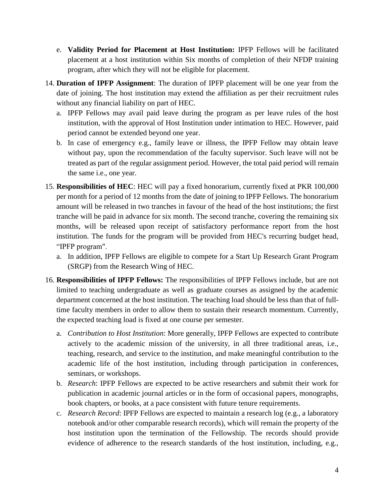- e. **Validity Period for Placement at Host Institution:** IPFP Fellows will be facilitated placement at a host institution within Six months of completion of their NFDP training program, after which they will not be eligible for placement.
- 14. **Duration of IPFP Assignment**: The duration of IPFP placement will be one year from the date of joining. The host institution may extend the affiliation as per their recruitment rules without any financial liability on part of HEC.
	- a. IPFP Fellows may avail paid leave during the program as per leave rules of the host institution, with the approval of Host Institution under intimation to HEC. However, paid period cannot be extended beyond one year.
	- b. In case of emergency e.g., family leave or illness, the IPFP Fellow may obtain leave without pay, upon the recommendation of the faculty supervisor. Such leave will not be treated as part of the regular assignment period. However, the total paid period will remain the same i.e., one year.
- 15. **Responsibilities of HEC**: HEC will pay a fixed honorarium, currently fixed at PKR 100,000 per month for a period of 12 months from the date of joining to IPFP Fellows. The honorarium amount will be released in two tranches in favour of the head of the host institutions; the first tranche will be paid in advance for six month. The second tranche, covering the remaining six months, will be released upon receipt of satisfactory performance report from the host institution. The funds for the program will be provided from HEC's recurring budget head, "IPFP program".
	- a. In addition, IPFP Fellows are eligible to compete for a Start Up Research Grant Program (SRGP) from the Research Wing of HEC.
- 16. **Responsibilities of IPFP Fellows:** The responsibilities of IPFP Fellows include, but are not limited to teaching undergraduate as well as graduate courses as assigned by the academic department concerned at the host institution. The teaching load should be less than that of fulltime faculty members in order to allow them to sustain their research momentum. Currently, the expected teaching load is fixed at one course per semester.
	- a. *Contribution to Host Institution*: More generally, IPFP Fellows are expected to contribute actively to the academic mission of the university, in all three traditional areas, i.e., teaching, research, and service to the institution, and make meaningful contribution to the academic life of the host institution, including through participation in conferences, seminars, or workshops.
	- b. *Research*: IPFP Fellows are expected to be active researchers and submit their work for publication in academic journal articles or in the form of occasional papers, monographs, book chapters, or books, at a pace consistent with future tenure requirements.
	- c. *Research Record*: IPFP Fellows are expected to maintain a research log (e.g., a laboratory notebook and/or other comparable research records), which will remain the property of the host institution upon the termination of the Fellowship. The records should provide evidence of adherence to the research standards of the host institution, including, e.g.,